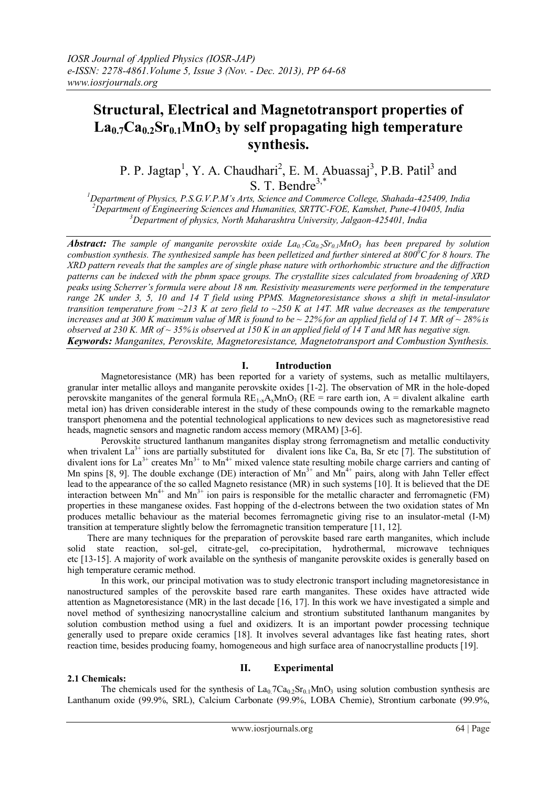# **Structural, Electrical and Magnetotransport properties of La0.7Ca0.2Sr0.1MnO<sup>3</sup> by self propagating high temperature synthesis.**

P. P. Jagtap<sup>1</sup>, Y. A. Chaudhari<sup>2</sup>, E. M. Abuassaj<sup>3</sup>, P.B. Patil<sup>3</sup> and S. T. Bendre<sup>3,\*</sup>

*<sup>1</sup>Department of Physics, P.S.G.V.P.M's Arts, Science and Commerce College, Shahada-425409, India <sup>2</sup>Department of Engineering Sciences and Humanities, SRTTC-FOE, Kamshet, Pune-410405, India <sup>3</sup>Department of physics, North Maharashtra University, Jalgaon-425401, India*

*Abstract: The sample of manganite perovskite oxide La***<sub>0</sub>***z***Ca<sub>0</sub>***sSr***<sub>01</sub>***MnO***<sub>3</sub>** *has been prepared by solution combustion synthesis. The synthesized sample has been pelletized and further sintered at 800<sup>0</sup>C for 8 hours. The XRD pattern reveals that the samples are of single phase nature with orthorhombic structure and the diffraction patterns can be indexed with the pbnm space groups. The crystallite sizes calculated from broadening of XRD peaks using Scherrer's formula were about 18 nm. Resistivity measurements were performed in the temperature range 2K under 3, 5, 10 and 14 T field using PPMS. Magnetoresistance shows a shift in metal-insulator transition temperature from ~213 K at zero field to ~250 K at 14T. MR value decreases as the temperature*  increases and at 300 K maximum value of MR is found to be  $\sim$  22% for an applied field of 14 T. MR of  $\sim$  28% is *observed at 230 K. MR of ~ 35% is observed at 150 K in an applied field of 14 T and MR has negative sign. Keywords: Manganites, Perovskite, Magnetoresistance, Magnetotransport and Combustion Synthesis.*

# **I. Introduction**

Magnetoresistance (MR) has been reported for a variety of systems, such as metallic multilayers, granular inter metallic alloys and manganite perovskite oxides [1-2]. The observation of MR in the hole-doped perovskite manganites of the general formula  $RE_{1-x}A_xMnO_3$  ( $RE =$  rare earth ion, A = divalent alkaline earth metal ion) has driven considerable interest in the study of these compounds owing to the remarkable magneto transport phenomena and the potential technological applications to new devices such as magnetoresistive read heads, magnetic sensors and magnetic random access memory (MRAM) [3-6].

Perovskite structured lanthanum manganites display strong ferromagnetism and metallic conductivity when trivalent La<sup>3+</sup> ions are partially substituted for divalent ions like Ca, Ba, Sr etc [7]. The substitution of divalent ions for La<sup>3+</sup> creates Mn<sup>3+</sup> to Mn<sup>4+</sup> mixed valence state resulting mobile charge carriers and canting of Mn spins [8, 9]. The double exchange (DE) interaction of  $Mn^{3+}$  and  $Mn^{4+}$  pairs, along with Jahn Teller effect lead to the appearance of the so called Magneto resistance (MR) in such systems [10]. It is believed that the DE interaction between  $Mn^{4+}$  and  $Mn^{3+}$  ion pairs is responsible for the metallic character and ferromagnetic (FM) properties in these manganese oxides. Fast hopping of the d-electrons between the two oxidation states of Mn produces metallic behaviour as the material becomes ferromagnetic giving rise to an insulator-metal (I-M) transition at temperature slightly below the ferromagnetic transition temperature [11, 12].

There are many techniques for the preparation of perovskite based rare earth manganites, which include solid state reaction, sol-gel, citrate-gel, co-precipitation, hydrothermal, microwave techniques etc [13-15]. A majority of work available on the synthesis of manganite perovskite oxides is generally based on high temperature ceramic method.

In this work, our principal motivation was to study electronic transport including magnetoresistance in nanostructured samples of the perovskite based rare earth manganites. These oxides have attracted wide attention as Magnetoresistance (MR) in the last decade [16, 17]. In this work we have investigated a simple and novel method of synthesizing nanocrystalline calcium and strontium substituted lanthanum manganites by solution combustion method using a fuel and oxidizers. It is an important powder processing technique generally used to prepare oxide ceramics [18]. It involves several advantages like fast heating rates, short reaction time, besides producing foamy, homogeneous and high surface area of nanocrystalline products [19].

## **2.1 Chemicals:**

## **II. Experimental**

The chemicals used for the synthesis of La<sub>0</sub>.7Ca<sub>0.2</sub>Sr<sub>0.1</sub>MnO<sub>3</sub> using solution combustion synthesis are Lanthanum oxide (99.9%, SRL), Calcium Carbonate (99.9%, LOBA Chemie), Strontium carbonate (99.9%,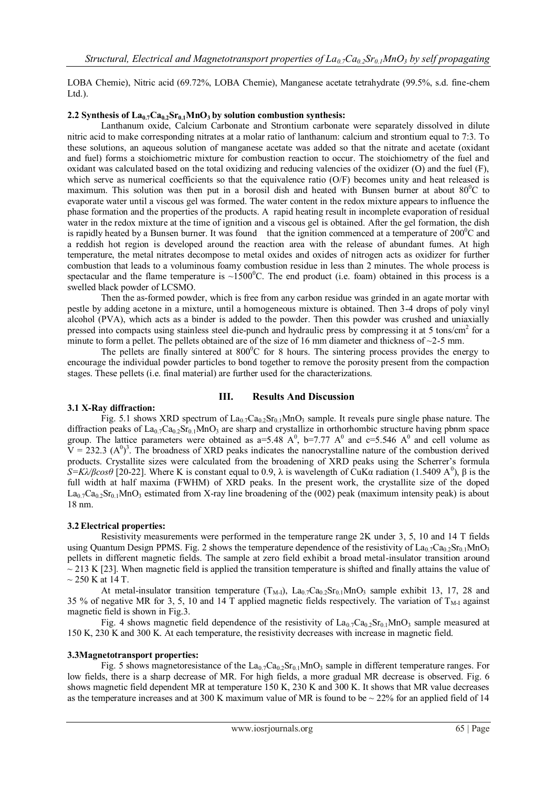LOBA Chemie), Nitric acid (69.72%, LOBA Chemie), Manganese acetate tetrahydrate (99.5%, s.d. fine-chem  $Ltd.$ ).

#### **2.2 Synthesis of La0.7Ca0.2Sr0.1MnO3 by solution combustion synthesis:**

Lanthanum oxide, Calcium Carbonate and Strontium carbonate were separately dissolved in dilute nitric acid to make corresponding nitrates at a molar ratio of lanthanum: calcium and strontium equal to 7:3. To these solutions, an aqueous solution of manganese acetate was added so that the nitrate and acetate (oxidant and fuel) forms a stoichiometric mixture for combustion reaction to occur. The stoichiometry of the fuel and oxidant was calculated based on the total oxidizing and reducing valencies of the oxidizer (O) and the fuel (F), which serve as numerical coefficients so that the equivalence ratio (O/F) becomes unity and heat released is maximum. This solution was then put in a borosil dish and heated with Bunsen burner at about  $80^{\circ}$ C to evaporate water until a viscous gel was formed. The water content in the redox mixture appears to influence the phase formation and the properties of the products. A rapid heating result in incomplete evaporation of residual water in the redox mixture at the time of ignition and a viscous gel is obtained. After the gel formation, the dish is rapidly heated by a Bunsen burner. It was found that the ignition commenced at a temperature of  $200^{\circ}$ C and a reddish hot region is developed around the reaction area with the release of abundant fumes. At high temperature, the metal nitrates decompose to metal oxides and oxides of nitrogen acts as oxidizer for further combustion that leads to a voluminous foamy combustion residue in less than 2 minutes. The whole process is spectacular and the flame temperature is  $\sim$ 1500 $^{\circ}$ C. The end product (i.e. foam) obtained in this process is a swelled black powder of LCSMO.

Then the as-formed powder, which is free from any carbon residue was grinded in an agate mortar with pestle by adding acetone in a mixture, until a homogeneous mixture is obtained. Then 3-4 drops of poly vinyl alcohol (PVA), which acts as a binder is added to the powder. Then this powder was crushed and uniaxially pressed into compacts using stainless steel die-punch and hydraulic press by compressing it at 5 tons/cm<sup>2</sup> for a minute to form a pellet. The pellets obtained are of the size of 16 mm diameter and thickness of  $\sim$ 2-5 mm.

The pellets are finally sintered at  $800^{\circ}$ C for 8 hours. The sintering process provides the energy to encourage the individual powder particles to bond together to remove the porosity present from the compaction stages. These pellets (i.e. final material) are further used for the characterizations.

# **III. Results And Discussion**

## **3.1 X-Ray diffraction:**

Fig. 5.1 shows XRD spectrum of  $La_{0.7}Ca_{0.2}Sr_{0.1}MnO_3$  sample. It reveals pure single phase nature. The diffraction peaks of  $La_{0.7}Ca_{0.2}Sr_{0.1}MnO_3$  are sharp and crystallize in orthorhombic structure having pbnm space group. The lattice parameters were obtained as  $a=5.48$  A<sup>0</sup>, b=7.77 A<sup>0</sup> and c=5.546 A<sup>0</sup> and cell volume as  $V = 232.3 \text{ (A}^0)^3$ . The broadness of XRD peaks indicates the nanocrystalline nature of the combustion derived products. Crystallite sizes were calculated from the broadening of XRD peaks using the Scherrer's formula *S=Kλ/βcosθ* [20-22]. Where K is constant equal to 0.9, λ is wavelength of CuKα radiation (1.5409 A<sup>0</sup>), β is the full width at half maxima (FWHM) of XRD peaks. In the present work, the crystallite size of the doped  $La<sub>0.7</sub>Ca<sub>0.2</sub>Sr<sub>0.1</sub>MnO<sub>3</sub> estimated from X-ray line broadening of the (002) peak (maximum intensity peak) is about$ 18 nm.

#### **3.2Electrical properties:**

Resistivity measurements were performed in the temperature range 2K under 3, 5, 10 and 14 T fields using Quantum Design PPMS. Fig. 2 shows the temperature dependence of the resistivity of  $La_0Za_0.2Sr_0.1MnO<sub>3</sub>$ pellets in different magnetic fields. The sample at zero field exhibit a broad metal-insulator transition around  $\sim$  213 K [23]. When magnetic field is applied the transition temperature is shifted and finally attains the value of  $\sim$  250 K at 14 T.

At metal-insulator transition temperature  $(T_{M-1})$ ,  $La_{0.7}Ca_{0.2}Sr_{0.1}MnO_3$  sample exhibit 13, 17, 28 and 35 % of negative MR for 3, 5, 10 and 14 T applied magnetic fields respectively. The variation of  $T_{\text{M-1}}$  against magnetic field is shown in Fig.3.

Fig. 4 shows magnetic field dependence of the resistivity of  $La_{0.7}Ca_{0.2}Sr_{0.1}MnO_3$  sample measured at 150 K, 230 K and 300 K. At each temperature, the resistivity decreases with increase in magnetic field.

#### **3.3Magnetotransport properties:**

Fig. 5 shows magnetoresistance of the La<sub>0.7</sub>Ca<sub>0.2</sub>Sr<sub>0.1</sub>MnO<sub>3</sub> sample in different temperature ranges. For low fields, there is a sharp decrease of MR. For high fields, a more gradual MR decrease is observed. Fig. 6 shows magnetic field dependent MR at temperature 150 K, 230 K and 300 K. It shows that MR value decreases as the temperature increases and at 300 K maximum value of MR is found to be  $\sim$  22% for an applied field of 14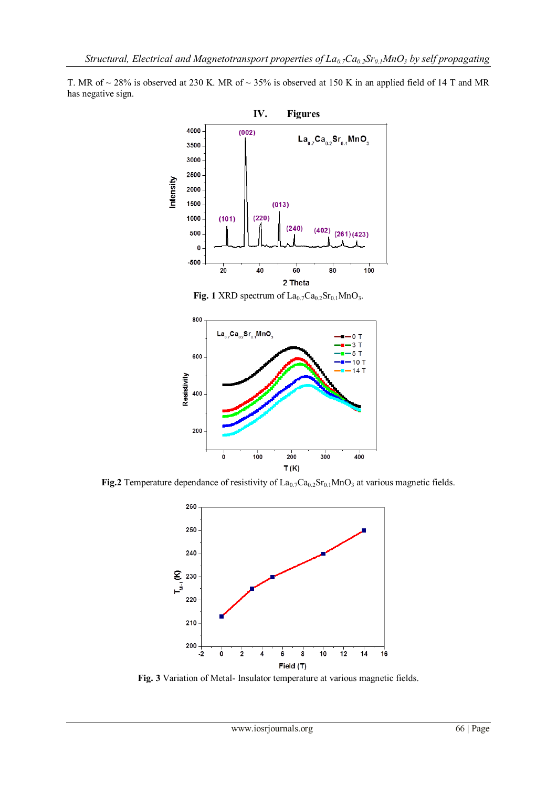

T. MR of  $\sim$  28% is observed at 230 K. MR of  $\sim$  35% is observed at 150 K in an applied field of 14 T and MR has negative sign.

**Fig. 1** XRD spectrum of  $La_{0.7}Ca_{0.2}Sr_{0.1}MnO_3$ .



**Fig.2** Temperature dependance of resistivity of  $La_{0.7}Ca_{0.2}Sr_{0.1}MnO_3$  at various magnetic fields.



**Fig. 3** Variation of Metal- Insulator temperature at various magnetic fields.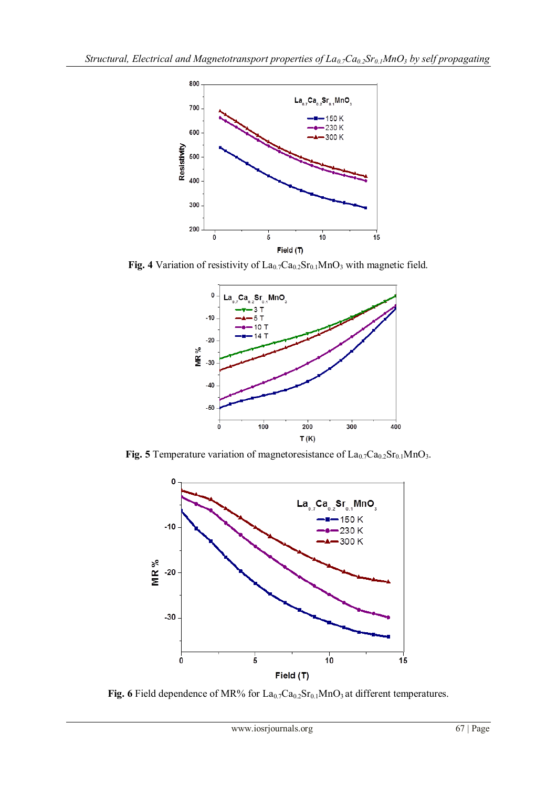

Fig. 4 Variation of resistivity of La<sub>0.7</sub>Ca<sub>0.2</sub>Sr<sub>0.1</sub>MnO<sub>3</sub> with magnetic field.



**Fig. 5** Temperature variation of magnetoresistance of  $La_{0.7}Ca_{0.2}Sr_{0.1}MnO_3$ .



Fig. 6 Field dependence of MR% for La<sub>0.7</sub>Ca<sub>0.2</sub>Sr<sub>0.1</sub>MnO<sub>3</sub> at different temperatures.